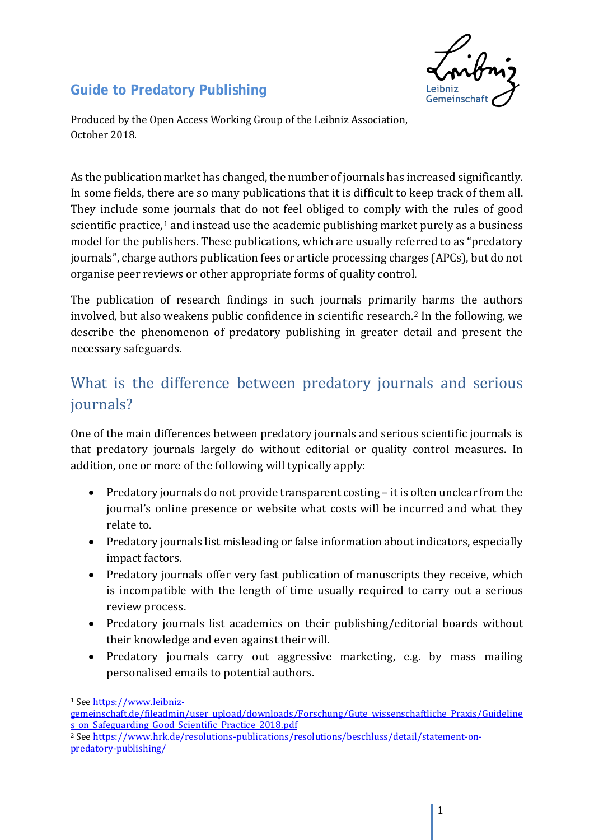<span id="page-0-2"></span>

### **Guide to Predatory Publishing**

Produced by the Open Access Working Group of the Leibniz Association, October 2018.

As the publication market has changed, the number of journals has increased significantly. In some fields, there are so many publications that it is difficult to keep track of them all. They include some journals that do not feel obliged to comply with the rules of good scientific practice, $1$  and instead use the academic publishing market purely as a business model for the publishers. These publications, which are usually referred to as "predatory journals", charge authors publication fees or article processing charges (APCs), but do not organise peer reviews or other appropriate forms of quality control.

The publication of research findings in such journals primaril[y](#page-0-1) harms the authors involved, but also weakens public confidence in scientific research.2 In the following, we describe the phenomenon of predatory publishing in greater detail and present the necessary safeguards.

# What is the difference between predatory journals and serious journals?

One of the main differences between predatory journals and serious scientific journals is that predatory journals largely do without editorial or quality control measures. In addition, one or more of the following will typically apply:

- Predatory journals do not provide transparent costing it is often unclear from the journal's online presence or website what costs will be incurred and what they relate to.
- Predatory journals list misleading or false information about indicators, especially impact factors.
- Predatory journals offer very fast publication of manuscripts they receive, which is incompatible with the length of time usually required to carry out a serious review process.
- Predatory journals list academics on their publishing/editorial boards without their knowledge and even against their will.
- Predatory journals carry out aggressive marketing, e.g. by mass mailing personalised emails to potential authors.

 $\overline{a}$ 

<span id="page-0-0"></span><sup>1</sup> Se[e https://www.leibniz-](https://www.leibniz-gemeinschaft.de/fileadmin/user_upload/downloads/Forschung/Gute_wissenschaftliche_Praxis/Guidelines_on_Safeguarding_Good_Scientific_Practice_2018.pdf)

[gemeinschaft.de/fileadmin/user\\_upload/downloads/Forschung/Gute\\_wissenschaftliche\\_Praxis/Guideline](https://www.leibniz-gemeinschaft.de/fileadmin/user_upload/downloads/Forschung/Gute_wissenschaftliche_Praxis/Guidelines_on_Safeguarding_Good_Scientific_Practice_2018.pdf) [s\\_on\\_Safeguarding\\_Good\\_Scientific\\_Practice\\_2018.pdf](https://www.leibniz-gemeinschaft.de/fileadmin/user_upload/downloads/Forschung/Gute_wissenschaftliche_Praxis/Guidelines_on_Safeguarding_Good_Scientific_Practice_2018.pdf)

<span id="page-0-1"></span><sup>2</sup> Se[e https://www.hrk.de/resolutions-publications/resolutions/beschluss/detail/statement-on](https://www.hrk.de/resolutions-publications/resolutions/beschluss/detail/statement-on-predatory-publishing/)[predatory-publishing/](https://www.hrk.de/resolutions-publications/resolutions/beschluss/detail/statement-on-predatory-publishing/)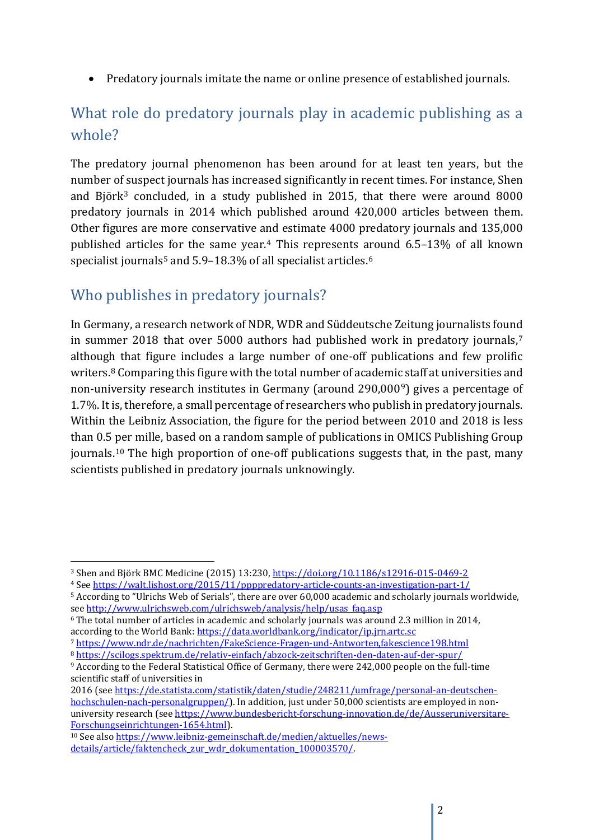• Predatory journals imitate the name or online presence of established journals.

# What role do predatory journals play in academic publishing as a whole?

The predatory journal phenomenon has been around for at least ten years, but the number of suspect journals has increased significantly in recent times. For instance, Shen and Björk<sup>[3](#page-1-0)</sup> concluded, in a study published in 2015, that there were around 8000 predatory journals in 2014 which published around 420,000 articles between them. Other figures are more conservative and estimate 4000 predatory journals and 135,000 published article[s](#page-1-2) for the same year.[4](#page-1-1) This represents around 6.5–13% of all known specialist journals<sup>5</sup> and 5.9-18.3% of all specialist articles.<sup>6</sup>

## Who publishes in predatory journals?

 $\overline{a}$ 

In Germany, a research network of NDR, WDR and Süddeutsche Zeitung journalists found in summer 2018 that over 5000 authors had published work in predatory journals,<sup>[7](#page-1-4)</sup> although that figure includes a large number of one-off publications and few prolific writers.<sup>[8](#page-1-5)</sup> Comparing this figure with the total number of academic staff at universities and non-university research institutes in Germany (around 290,000[9\)](#page-1-6) gives a percentage of 1.7%. It is, therefore, a small percentage of researchers who publish in predatory journals. Within the Leibniz Association, the figure for the period between 2010 and 2018 is less than 0.5 per mille, based on a random sample of publications in OMICS Publishing Group journals.[10](#page-1-7) The high proportion of one-off publications suggests that, in the past, many scientists published in predatory journals unknowingly.

2016 (see [https://de.statista.com/statistik/daten/studie/248211/umfrage/personal-an-deutschen](https://de.statista.com/statistik/daten/studie/248211/umfrage/personal-an-deutschen-hochschulen-nach-personalgruppen/)[hochschulen-nach-personalgruppen/\)](https://de.statista.com/statistik/daten/studie/248211/umfrage/personal-an-deutschen-hochschulen-nach-personalgruppen/). In addition, just under 50,000 scientists are employed in nonuniversity research (see [https://www.bundesbericht-forschung-innovation.de/de/Ausseruniversitare-](https://www.bundesbericht-forschung-innovation.de/de/Ausseruniversitare-Forschungseinrichtungen-1654.html)[Forschungseinrichtungen-1654.html\)](https://www.bundesbericht-forschung-innovation.de/de/Ausseruniversitare-Forschungseinrichtungen-1654.html).

<span id="page-1-0"></span><sup>3</sup> Shen and Björk BMC Medicine (2015) 13:230[, https://doi.org/10.1186/s12916-015-0469-2](https://doi.org/10.1186/s12916-015-0469-2)

<span id="page-1-1"></span><sup>4</sup> Se[e https://walt.lishost.org/2015/11/ppppredatory-article-counts-an-investigation-part-1/](https://walt.lishost.org/2015/11/ppppredatory-article-counts-an-investigation-part-1/)

<span id="page-1-2"></span><sup>5</sup> According to "Ulrichs Web of Serials", there are over 60,000 academic and scholarly journals worldwide, see [http://www.ulrichsweb.com/ulrichsweb/analysis/help/usas\\_faq.asp](http://www.ulrichsweb.com/ulrichsweb/analysis/help/usas_faq.asp)

<span id="page-1-3"></span><sup>6</sup> The total number of articles in academic and scholarly journals was around 2.3 million in 2014, according to the World Bank[: https://data.worldbank.org/indicator/ip.jrn.artc.sc](https://data.worldbank.org/indicator/ip.jrn.artc.sc)

<span id="page-1-4"></span><sup>7</sup> <https://www.ndr.de/nachrichten/FakeScience-Fragen-und-Antworten,fakescience198.html> <sup>8</sup> <https://scilogs.spektrum.de/relativ-einfach/abzock-zeitschriften-den-daten-auf-der-spur/>

<span id="page-1-6"></span><span id="page-1-5"></span><sup>9</sup> According to the Federal Statistical Office of Germany, there were 242,000 people on the full-time scientific staff of universities in

<span id="page-1-7"></span><sup>10</sup> See also [https://www.leibniz-gemeinschaft.de/medien/aktuelles/news](https://www.leibniz-gemeinschaft.de/medien/aktuelles/news-details/article/faktencheck_zur_wdr_dokumentation_100003570/)[details/article/faktencheck\\_zur\\_wdr\\_dokumentation\\_100003570/.](https://www.leibniz-gemeinschaft.de/medien/aktuelles/news-details/article/faktencheck_zur_wdr_dokumentation_100003570/)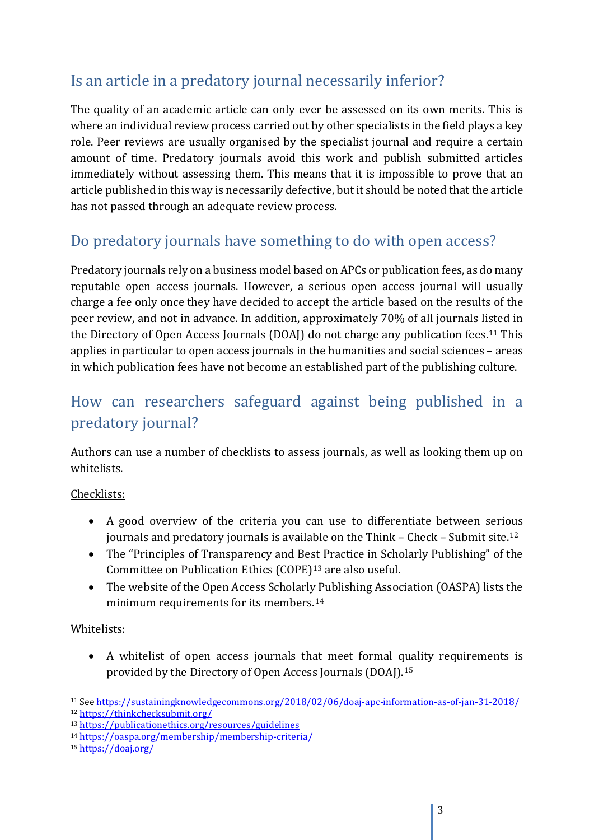## Is an article in a predatory journal necessarily inferior?

The quality of an academic article can only ever be assessed on its own merits. This is where an individual review process carried out by other specialists in the field plays a key role. Peer reviews are usually organised by the specialist journal and require a certain amount of time. Predatory journals avoid this work and publish submitted articles immediately without assessing them. This means that it is impossible to prove that an article published in this way is necessarily defective, but it should be noted that the article has not passed through an adequate review process.

## Do predatory journals have something to do with open access?

Predatory journals rely on a business model based on APCs or publication fees, as do many reputable open access journals. However, a serious open access journal will usually charge a fee only once they have decided to accept the article based on the results of the peer review, and not in advance. In addition, approximately 70% of all journals listed in the Directory of Open Access Journals (DOAJ) do not charge any publication fees.[11](#page-2-0) This applies in particular to open access journals in the humanities and social sciences – areas in which publication fees have not become an established part of the publishing culture.

# How can researchers safeguard against being published in a predatory journal?

Authors can use a number of checklists to assess journals, as well as looking them up on whitelists.

#### Checklists:

- A good overview of the criteria you can use to differentiate between serious journals and predatory journals is available on the Think – Check – Submit site.[12](#page-2-1)
- The "Principles of Transparency and Best Practice in Scholarly Publishing" of the Committee on Publication Ethics (COPE)[13](#page-2-2) are also useful.
- The website of the Open Access Scholarly Publishing Association (OASPA) lists the minimum requirements for its members.[14](#page-2-3)

#### Whitelists:

• A whitelist of open access journals that meet formal quality requirements is provided by the Directory of Open Access Journals (DOAJ).[15](#page-2-4)

<span id="page-2-0"></span> $\overline{a}$ <sup>11</sup> See<https://sustainingknowledgecommons.org/2018/02/06/doaj-apc-information-as-of-jan-31-2018/> <sup>12</sup> <https://thinkchecksubmit.org/>

<span id="page-2-2"></span><span id="page-2-1"></span><sup>13</sup> <https://publicationethics.org/resources/guidelines>

<span id="page-2-3"></span><sup>14</sup> <https://oaspa.org/membership/membership-criteria/>

<span id="page-2-4"></span><sup>15</sup> <https://doaj.org/>